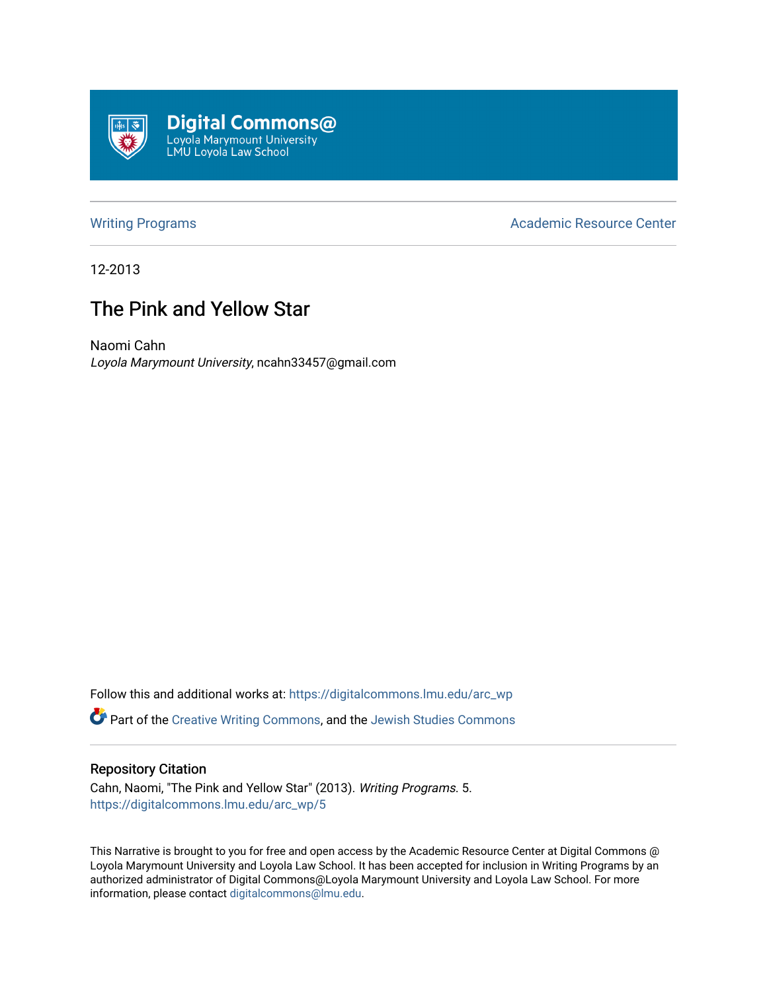

[Writing Programs](https://digitalcommons.lmu.edu/arc_wp) **Academic Resource Center** Academic Resource Center

12-2013

# The Pink and Yellow Star

Naomi Cahn Loyola Marymount University, ncahn33457@gmail.com

Follow this and additional works at: [https://digitalcommons.lmu.edu/arc\\_wp](https://digitalcommons.lmu.edu/arc_wp?utm_source=digitalcommons.lmu.edu%2Farc_wp%2F5&utm_medium=PDF&utm_campaign=PDFCoverPages)

Part of the [Creative Writing Commons](http://network.bepress.com/hgg/discipline/574?utm_source=digitalcommons.lmu.edu%2Farc_wp%2F5&utm_medium=PDF&utm_campaign=PDFCoverPages), and the [Jewish Studies Commons](http://network.bepress.com/hgg/discipline/479?utm_source=digitalcommons.lmu.edu%2Farc_wp%2F5&utm_medium=PDF&utm_campaign=PDFCoverPages) 

#### Repository Citation

Cahn, Naomi, "The Pink and Yellow Star" (2013). Writing Programs. 5. [https://digitalcommons.lmu.edu/arc\\_wp/5](https://digitalcommons.lmu.edu/arc_wp/5?utm_source=digitalcommons.lmu.edu%2Farc_wp%2F5&utm_medium=PDF&utm_campaign=PDFCoverPages)

This Narrative is brought to you for free and open access by the Academic Resource Center at Digital Commons @ Loyola Marymount University and Loyola Law School. It has been accepted for inclusion in Writing Programs by an authorized administrator of Digital Commons@Loyola Marymount University and Loyola Law School. For more information, please contact [digitalcommons@lmu.edu.](mailto:digitalcommons@lmu.edu)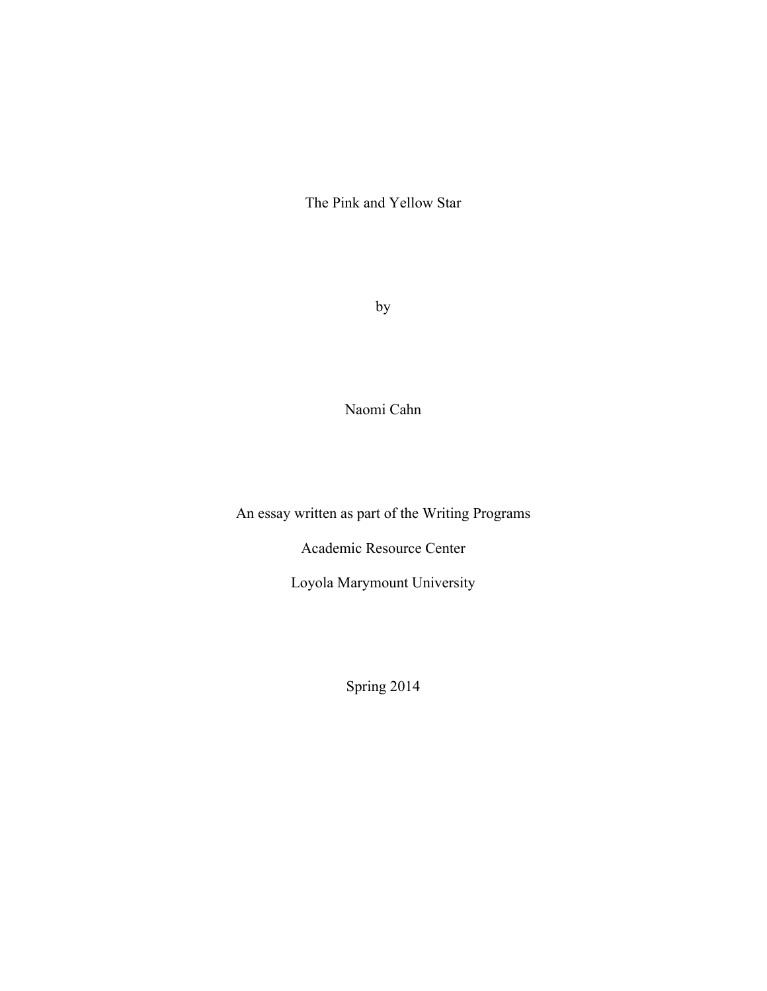The Pink and Yellow Star

by

Naomi Cahn

An essay written as part of the Writing Programs

Academic Resource Center

Loyola Marymount University

Spring 2014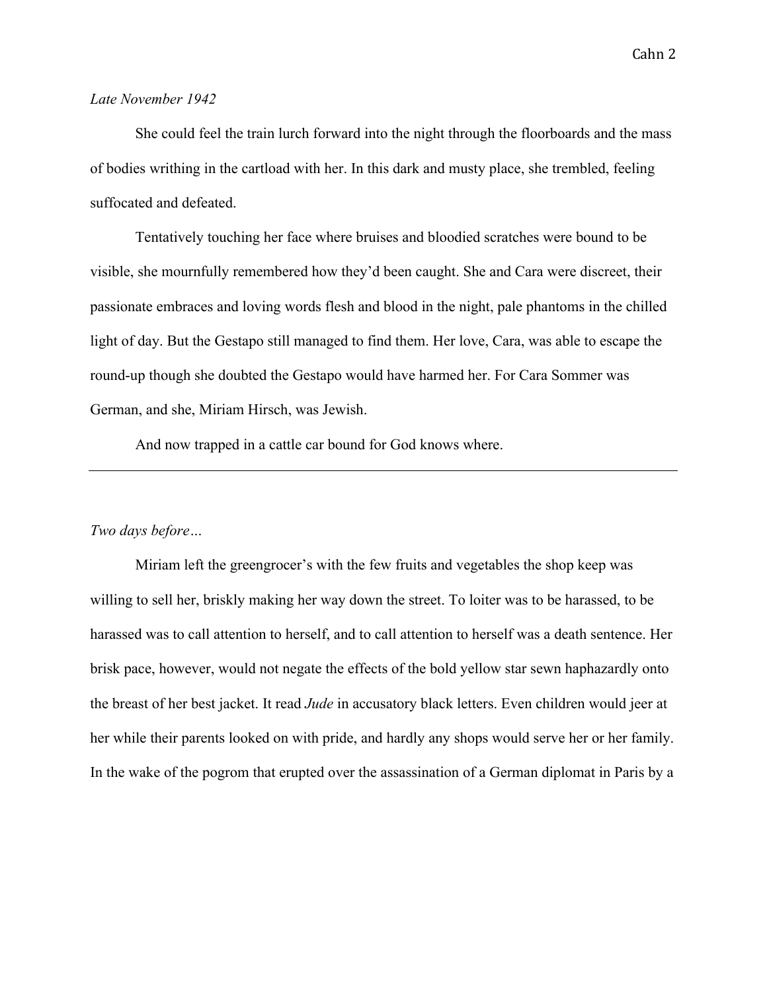#### *Late November 1942*

She could feel the train lurch forward into the night through the floorboards and the mass of bodies writhing in the cartload with her. In this dark and musty place, she trembled, feeling suffocated and defeated.

Tentatively touching her face where bruises and bloodied scratches were bound to be visible, she mournfully remembered how they'd been caught. She and Cara were discreet, their passionate embraces and loving words flesh and blood in the night, pale phantoms in the chilled light of day. But the Gestapo still managed to find them. Her love, Cara, was able to escape the round-up though she doubted the Gestapo would have harmed her. For Cara Sommer was German, and she, Miriam Hirsch, was Jewish.

And now trapped in a cattle car bound for God knows where.

## *Two days before…*

Miriam left the greengrocer's with the few fruits and vegetables the shop keep was willing to sell her, briskly making her way down the street. To loiter was to be harassed, to be harassed was to call attention to herself, and to call attention to herself was a death sentence. Her brisk pace, however, would not negate the effects of the bold yellow star sewn haphazardly onto the breast of her best jacket. It read *Jude* in accusatory black letters. Even children would jeer at her while their parents looked on with pride, and hardly any shops would serve her or her family. In the wake of the pogrom that erupted over the assassination of a German diplomat in Paris by a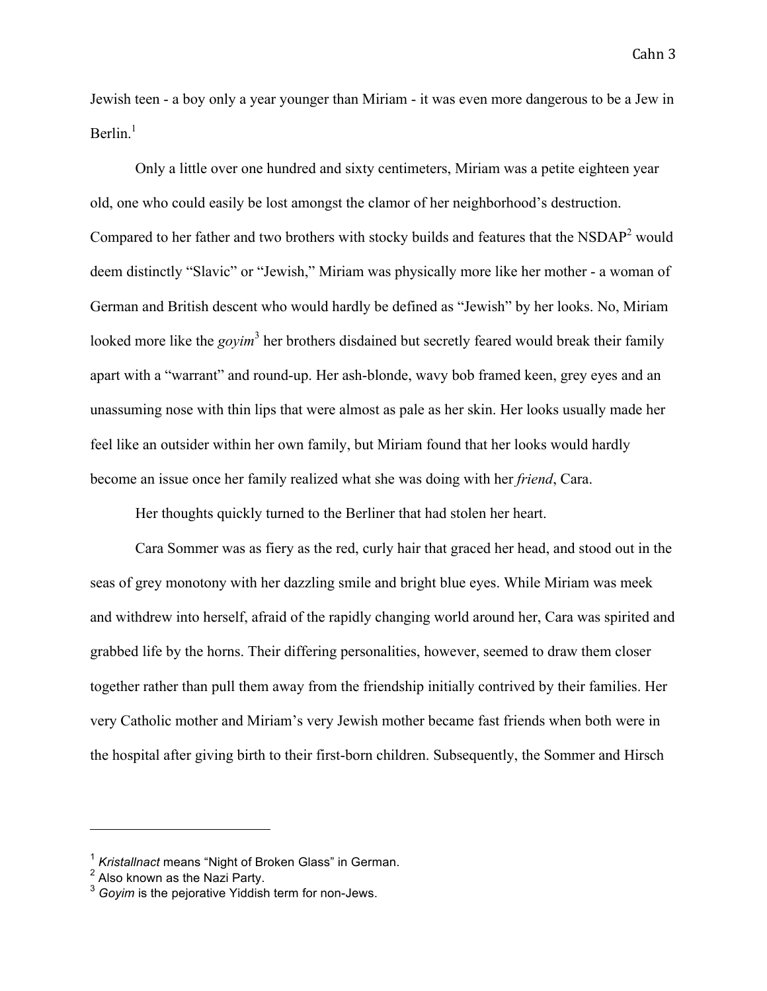Jewish teen - a boy only a year younger than Miriam - it was even more dangerous to be a Jew in Berlin $<sup>1</sup>$ </sup>

Only a little over one hundred and sixty centimeters, Miriam was a petite eighteen year old, one who could easily be lost amongst the clamor of her neighborhood's destruction. Compared to her father and two brothers with stocky builds and features that the  $NSDAP<sup>2</sup>$  would deem distinctly "Slavic" or "Jewish," Miriam was physically more like her mother - a woman of German and British descent who would hardly be defined as "Jewish" by her looks. No, Miriam looked more like the *govim*<sup>3</sup> her brothers disdained but secretly feared would break their family apart with a "warrant" and round-up. Her ash-blonde, wavy bob framed keen, grey eyes and an unassuming nose with thin lips that were almost as pale as her skin. Her looks usually made her feel like an outsider within her own family, but Miriam found that her looks would hardly become an issue once her family realized what she was doing with her *friend*, Cara.

Her thoughts quickly turned to the Berliner that had stolen her heart.

Cara Sommer was as fiery as the red, curly hair that graced her head, and stood out in the seas of grey monotony with her dazzling smile and bright blue eyes. While Miriam was meek and withdrew into herself, afraid of the rapidly changing world around her, Cara was spirited and grabbed life by the horns. Their differing personalities, however, seemed to draw them closer together rather than pull them away from the friendship initially contrived by their families. Her very Catholic mother and Miriam's very Jewish mother became fast friends when both were in the hospital after giving birth to their first-born children. Subsequently, the Sommer and Hirsch

<sup>1</sup> *Kristallnact* means "Night of Broken Glass" in German.

<sup>&</sup>lt;sup>2</sup> Also known as the Nazi Party.

<sup>3</sup> *Goyim* is the pejorative Yiddish term for non-Jews.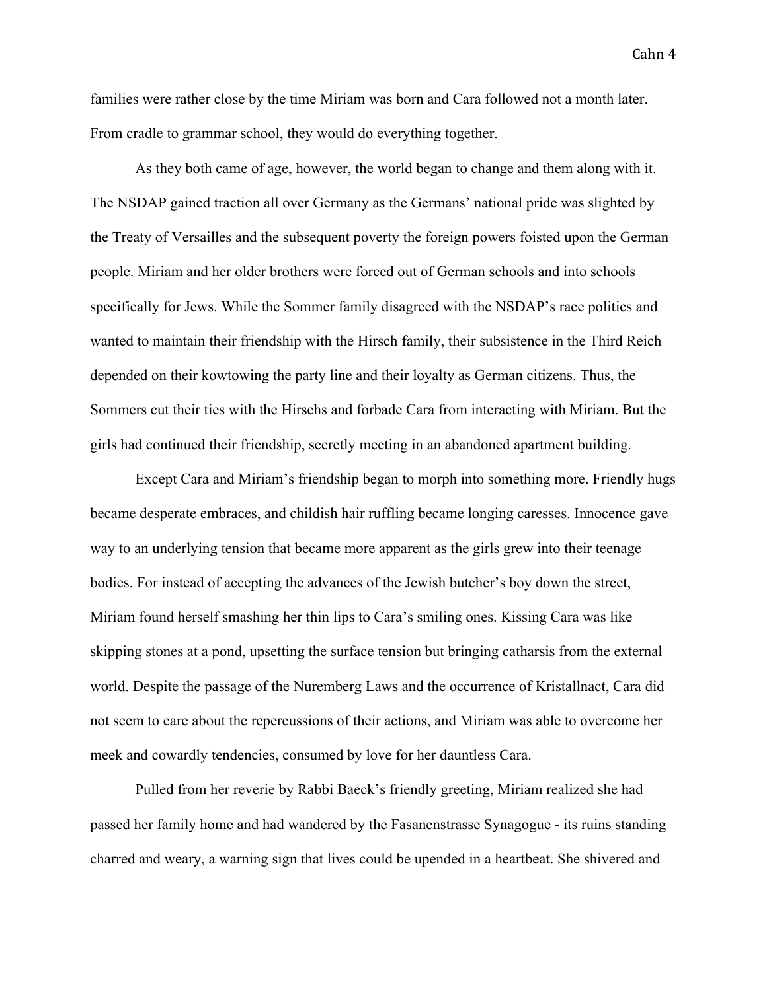families were rather close by the time Miriam was born and Cara followed not a month later. From cradle to grammar school, they would do everything together.

As they both came of age, however, the world began to change and them along with it. The NSDAP gained traction all over Germany as the Germans' national pride was slighted by the Treaty of Versailles and the subsequent poverty the foreign powers foisted upon the German people. Miriam and her older brothers were forced out of German schools and into schools specifically for Jews. While the Sommer family disagreed with the NSDAP's race politics and wanted to maintain their friendship with the Hirsch family, their subsistence in the Third Reich depended on their kowtowing the party line and their loyalty as German citizens. Thus, the Sommers cut their ties with the Hirschs and forbade Cara from interacting with Miriam. But the girls had continued their friendship, secretly meeting in an abandoned apartment building.

Except Cara and Miriam's friendship began to morph into something more. Friendly hugs became desperate embraces, and childish hair ruffling became longing caresses. Innocence gave way to an underlying tension that became more apparent as the girls grew into their teenage bodies. For instead of accepting the advances of the Jewish butcher's boy down the street, Miriam found herself smashing her thin lips to Cara's smiling ones. Kissing Cara was like skipping stones at a pond, upsetting the surface tension but bringing catharsis from the external world. Despite the passage of the Nuremberg Laws and the occurrence of Kristallnact, Cara did not seem to care about the repercussions of their actions, and Miriam was able to overcome her meek and cowardly tendencies, consumed by love for her dauntless Cara.

Pulled from her reverie by Rabbi Baeck's friendly greeting, Miriam realized she had passed her family home and had wandered by the Fasanenstrasse Synagogue - its ruins standing charred and weary, a warning sign that lives could be upended in a heartbeat. She shivered and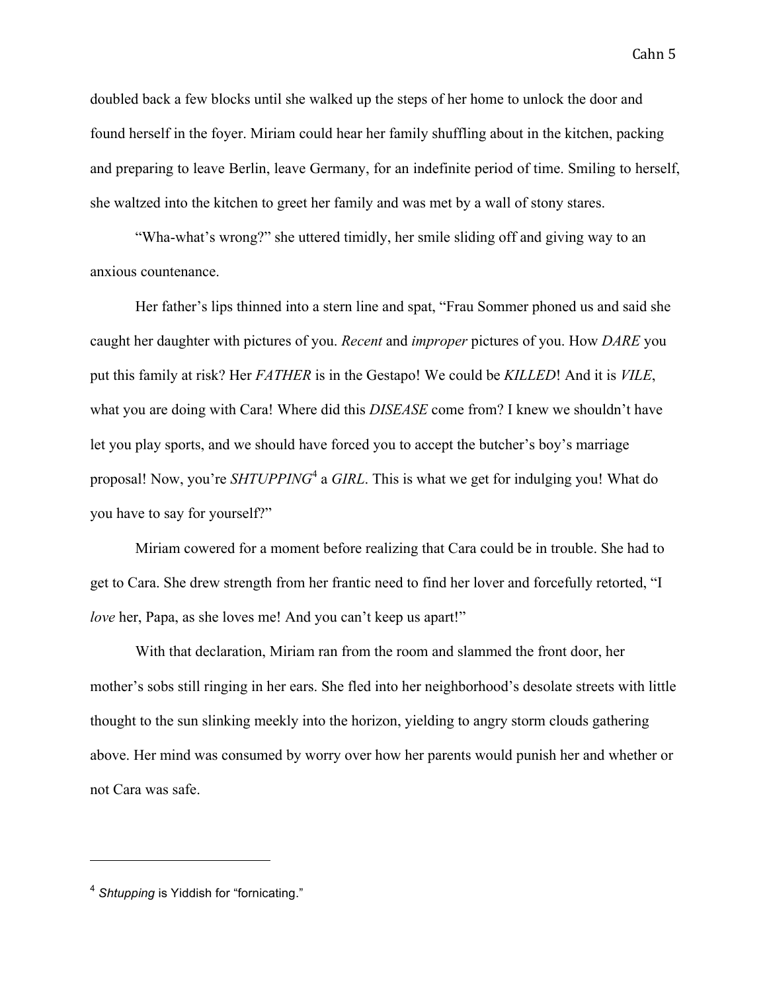doubled back a few blocks until she walked up the steps of her home to unlock the door and found herself in the foyer. Miriam could hear her family shuffling about in the kitchen, packing and preparing to leave Berlin, leave Germany, for an indefinite period of time. Smiling to herself, she waltzed into the kitchen to greet her family and was met by a wall of stony stares.

"Wha-what's wrong?" she uttered timidly, her smile sliding off and giving way to an anxious countenance.

Her father's lips thinned into a stern line and spat, "Frau Sommer phoned us and said she caught her daughter with pictures of you. *Recent* and *improper* pictures of you. How *DARE* you put this family at risk? Her *FATHER* is in the Gestapo! We could be *KILLED*! And it is *VILE*, what you are doing with Cara! Where did this *DISEASE* come from? I knew we shouldn't have let you play sports, and we should have forced you to accept the butcher's boy's marriage proposal! Now, you're *SHTUPPING*<sup>4</sup> a *GIRL*. This is what we get for indulging you! What do you have to say for yourself?"

Miriam cowered for a moment before realizing that Cara could be in trouble. She had to get to Cara. She drew strength from her frantic need to find her lover and forcefully retorted, "I *love* her, Papa, as she loves me! And you can't keep us apart!"

With that declaration, Miriam ran from the room and slammed the front door, her mother's sobs still ringing in her ears. She fled into her neighborhood's desolate streets with little thought to the sun slinking meekly into the horizon, yielding to angry storm clouds gathering above. Her mind was consumed by worry over how her parents would punish her and whether or not Cara was safe.

<sup>4</sup> *Shtupping* is Yiddish for "fornicating."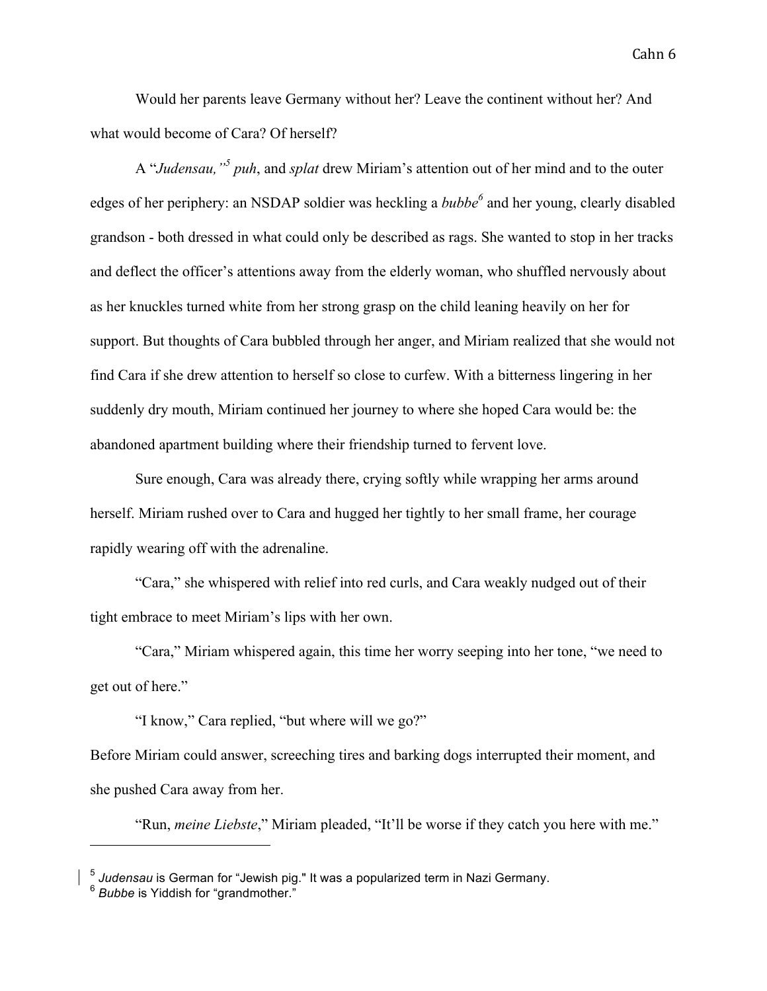Would her parents leave Germany without her? Leave the continent without her? And what would become of Cara? Of herself?

A "*Judensau,"<sup>5</sup> puh*, and *splat* drew Miriam's attention out of her mind and to the outer edges of her periphery: an NSDAP soldier was heckling a *bubbe*<sup>6</sup> and her young, clearly disabled grandson - both dressed in what could only be described as rags. She wanted to stop in her tracks and deflect the officer's attentions away from the elderly woman, who shuffled nervously about as her knuckles turned white from her strong grasp on the child leaning heavily on her for support. But thoughts of Cara bubbled through her anger, and Miriam realized that she would not find Cara if she drew attention to herself so close to curfew. With a bitterness lingering in her suddenly dry mouth, Miriam continued her journey to where she hoped Cara would be: the abandoned apartment building where their friendship turned to fervent love.

Sure enough, Cara was already there, crying softly while wrapping her arms around herself. Miriam rushed over to Cara and hugged her tightly to her small frame, her courage rapidly wearing off with the adrenaline.

"Cara," she whispered with relief into red curls, and Cara weakly nudged out of their tight embrace to meet Miriam's lips with her own.

"Cara," Miriam whispered again, this time her worry seeping into her tone, "we need to get out of here."

"I know," Cara replied, "but where will we go?"

Before Miriam could answer, screeching tires and barking dogs interrupted their moment, and she pushed Cara away from her.

"Run, *meine Liebste*," Miriam pleaded, "It'll be worse if they catch you here with me."

<sup>5</sup> *Judensau* is German for "Jewish pig." It was a popularized term in Nazi Germany.

<sup>6</sup> *Bubbe* is Yiddish for "grandmother."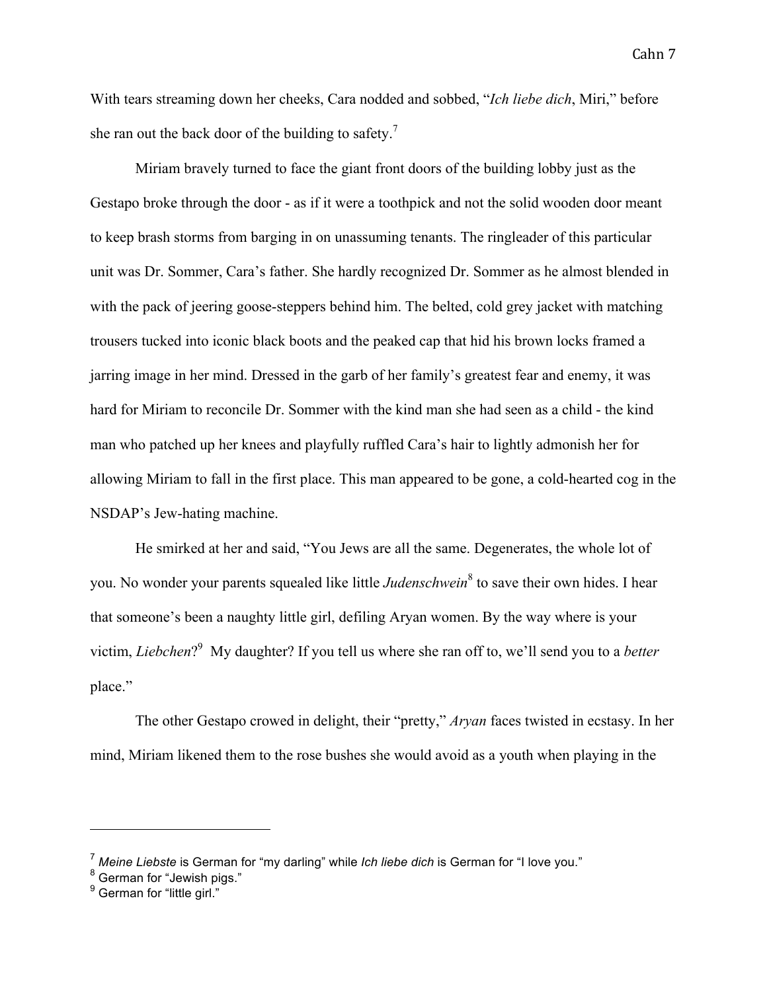With tears streaming down her cheeks, Cara nodded and sobbed, "*Ich liebe dich*, Miri," before she ran out the back door of the building to safety.<sup>7</sup>

Miriam bravely turned to face the giant front doors of the building lobby just as the Gestapo broke through the door - as if it were a toothpick and not the solid wooden door meant to keep brash storms from barging in on unassuming tenants. The ringleader of this particular unit was Dr. Sommer, Cara's father. She hardly recognized Dr. Sommer as he almost blended in with the pack of jeering goose-steppers behind him. The belted, cold grey jacket with matching trousers tucked into iconic black boots and the peaked cap that hid his brown locks framed a jarring image in her mind. Dressed in the garb of her family's greatest fear and enemy, it was hard for Miriam to reconcile Dr. Sommer with the kind man she had seen as a child - the kind man who patched up her knees and playfully ruffled Cara's hair to lightly admonish her for allowing Miriam to fall in the first place. This man appeared to be gone, a cold-hearted cog in the NSDAP's Jew-hating machine.

He smirked at her and said, "You Jews are all the same. Degenerates, the whole lot of you. No wonder your parents squealed like little *Judenschwein*<sup>8</sup> to save their own hides. I hear that someone's been a naughty little girl, defiling Aryan women. By the way where is your victim, *Liebchen*? <sup>9</sup> My daughter? If you tell us where she ran off to, we'll send you to a *better* place."

The other Gestapo crowed in delight, their "pretty," *Aryan* faces twisted in ecstasy. In her mind, Miriam likened them to the rose bushes she would avoid as a youth when playing in the

<sup>7</sup> *Meine Liebste* is German for "my darling" while *Ich liebe dich* is German for "I love you."

<sup>8</sup> German for "Jewish pigs."

<sup>&</sup>lt;sup>9</sup> German for "little girl."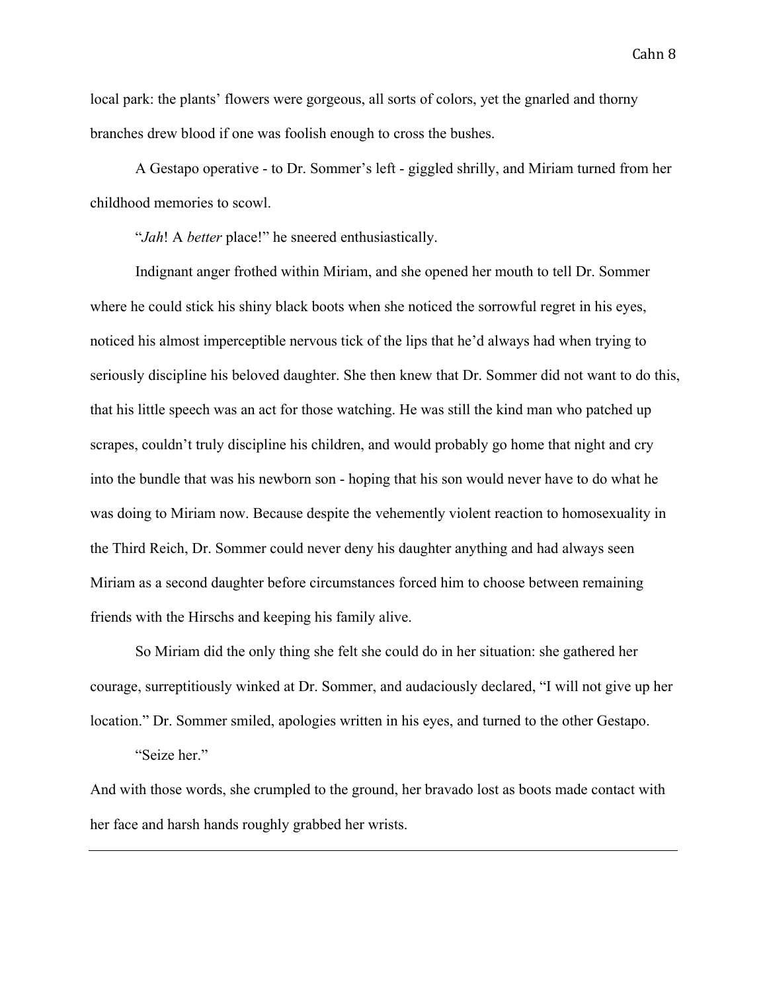local park: the plants' flowers were gorgeous, all sorts of colors, yet the gnarled and thorny branches drew blood if one was foolish enough to cross the bushes.

A Gestapo operative - to Dr. Sommer's left - giggled shrilly, and Miriam turned from her childhood memories to scowl.

"*Jah*! A *better* place!" he sneered enthusiastically.

Indignant anger frothed within Miriam, and she opened her mouth to tell Dr. Sommer where he could stick his shiny black boots when she noticed the sorrowful regret in his eyes, noticed his almost imperceptible nervous tick of the lips that he'd always had when trying to seriously discipline his beloved daughter. She then knew that Dr. Sommer did not want to do this, that his little speech was an act for those watching. He was still the kind man who patched up scrapes, couldn't truly discipline his children, and would probably go home that night and cry into the bundle that was his newborn son - hoping that his son would never have to do what he was doing to Miriam now. Because despite the vehemently violent reaction to homosexuality in the Third Reich, Dr. Sommer could never deny his daughter anything and had always seen Miriam as a second daughter before circumstances forced him to choose between remaining friends with the Hirschs and keeping his family alive.

So Miriam did the only thing she felt she could do in her situation: she gathered her courage, surreptitiously winked at Dr. Sommer, and audaciously declared, "I will not give up her location." Dr. Sommer smiled, apologies written in his eyes, and turned to the other Gestapo.

"Seize her."

And with those words, she crumpled to the ground, her bravado lost as boots made contact with her face and harsh hands roughly grabbed her wrists.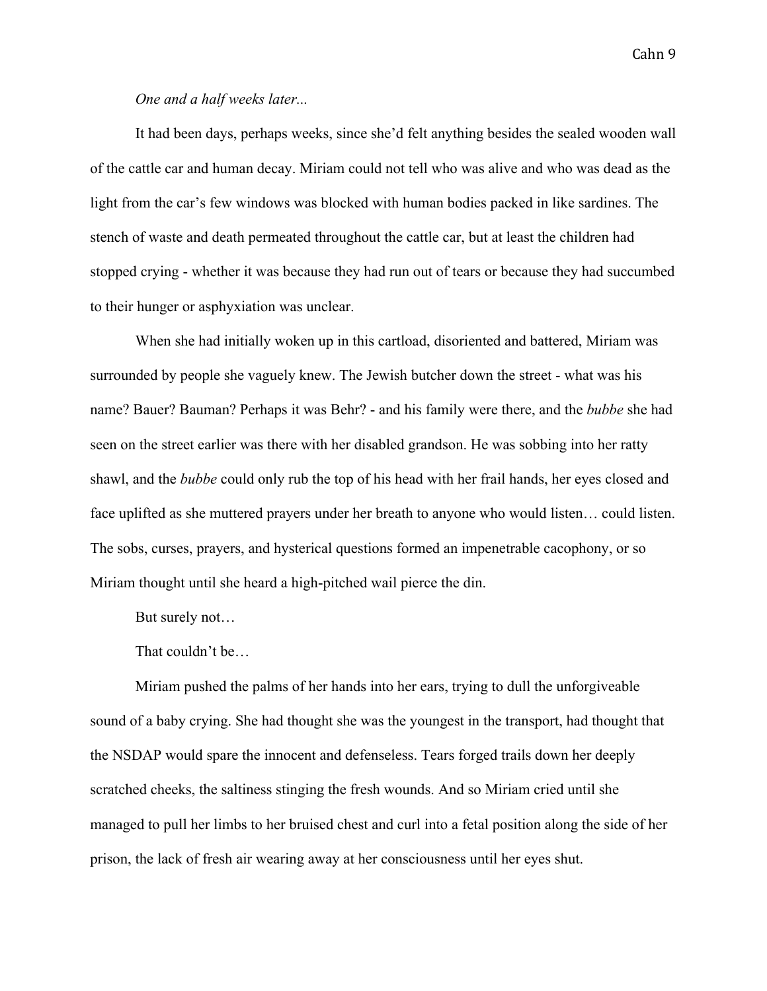### *One and a half weeks later...*

It had been days, perhaps weeks, since she'd felt anything besides the sealed wooden wall of the cattle car and human decay. Miriam could not tell who was alive and who was dead as the light from the car's few windows was blocked with human bodies packed in like sardines. The stench of waste and death permeated throughout the cattle car, but at least the children had stopped crying - whether it was because they had run out of tears or because they had succumbed to their hunger or asphyxiation was unclear.

When she had initially woken up in this cartload, disoriented and battered, Miriam was surrounded by people she vaguely knew. The Jewish butcher down the street - what was his name? Bauer? Bauman? Perhaps it was Behr? - and his family were there, and the *bubbe* she had seen on the street earlier was there with her disabled grandson. He was sobbing into her ratty shawl, and the *bubbe* could only rub the top of his head with her frail hands, her eyes closed and face uplifted as she muttered prayers under her breath to anyone who would listen… could listen. The sobs, curses, prayers, and hysterical questions formed an impenetrable cacophony, or so Miriam thought until she heard a high-pitched wail pierce the din.

But surely not…

That couldn't be…

Miriam pushed the palms of her hands into her ears, trying to dull the unforgiveable sound of a baby crying. She had thought she was the youngest in the transport, had thought that the NSDAP would spare the innocent and defenseless. Tears forged trails down her deeply scratched cheeks, the saltiness stinging the fresh wounds. And so Miriam cried until she managed to pull her limbs to her bruised chest and curl into a fetal position along the side of her prison, the lack of fresh air wearing away at her consciousness until her eyes shut.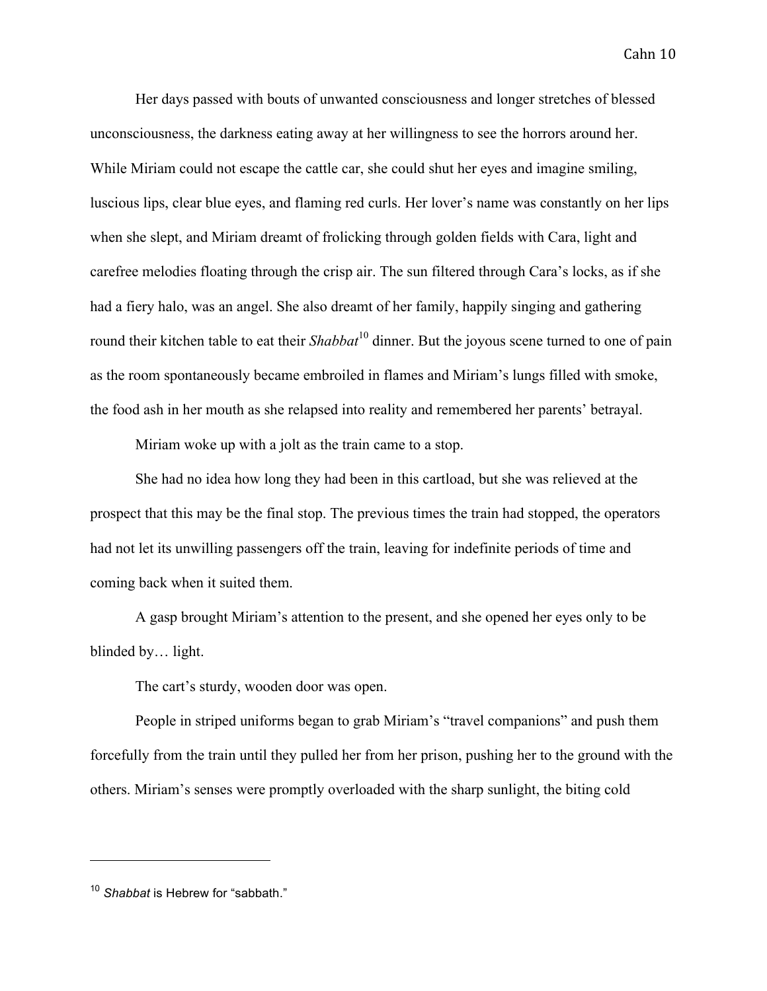Her days passed with bouts of unwanted consciousness and longer stretches of blessed unconsciousness, the darkness eating away at her willingness to see the horrors around her. While Miriam could not escape the cattle car, she could shut her eyes and imagine smiling, luscious lips, clear blue eyes, and flaming red curls. Her lover's name was constantly on her lips when she slept, and Miriam dreamt of frolicking through golden fields with Cara, light and carefree melodies floating through the crisp air. The sun filtered through Cara's locks, as if she had a fiery halo, was an angel. She also dreamt of her family, happily singing and gathering round their kitchen table to eat their *Shabbat*<sup>10</sup> dinner. But the joyous scene turned to one of pain as the room spontaneously became embroiled in flames and Miriam's lungs filled with smoke, the food ash in her mouth as she relapsed into reality and remembered her parents' betrayal.

Miriam woke up with a jolt as the train came to a stop.

She had no idea how long they had been in this cartload, but she was relieved at the prospect that this may be the final stop. The previous times the train had stopped, the operators had not let its unwilling passengers off the train, leaving for indefinite periods of time and coming back when it suited them.

A gasp brought Miriam's attention to the present, and she opened her eyes only to be blinded by… light.

The cart's sturdy, wooden door was open.

People in striped uniforms began to grab Miriam's "travel companions" and push them forcefully from the train until they pulled her from her prison, pushing her to the ground with the others. Miriam's senses were promptly overloaded with the sharp sunlight, the biting cold

<sup>10</sup> *Shabbat* is Hebrew for "sabbath."